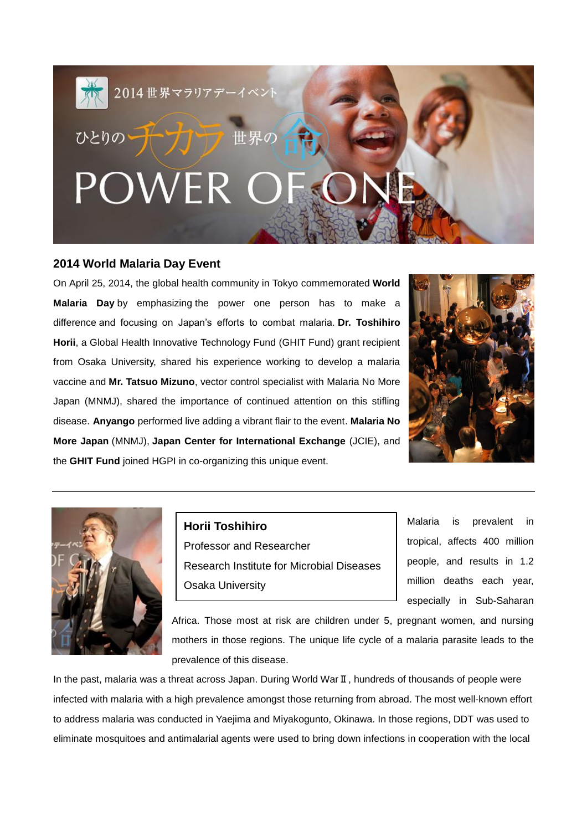

## **2014 World Malaria Day Event**

On April 25, 2014, the global health community in Tokyo commemorated **World Malaria Day** by emphasizing the power one person has to make a difference and focusing on Japan's efforts to combat malaria. **Dr. Toshihiro Horii**, a Global Health Innovative Technology Fund (GHIT Fund) grant recipient from Osaka University, shared his experience working to develop a malaria vaccine and **Mr. Tatsuo Mizuno**, vector control specialist with Malaria No More Japan (MNMJ), shared the importance of continued attention on this stifling disease. **Anyango** performed live adding a vibrant flair to the event. **Malaria No More Japan** (MNMJ), **Japan Center for International Exchange** (JCIE), and the **GHIT Fund** joined HGPI in co-organizing this unique event.





**Horii Toshihiro** Professor and Researcher Research Institute for Microbial Diseases Osaka University

Malaria is prevalent in tropical, affects 400 million people, and results in 1.2 million deaths each year, especially in Sub-Saharan

Africa. Those most at risk are children under 5, pregnant women, and nursing mothers in those regions. The unique life cycle of a malaria parasite leads to the prevalence of this disease.

In the past, malaria was a threat across Japan. During World WarⅡ, hundreds of thousands of people were infected with malaria with a high prevalence amongst those returning from abroad. The most well-known effort to address malaria was conducted in Yaejima and Miyakogunto, Okinawa. In those regions, DDT was used to eliminate mosquitoes and antimalarial agents were used to bring down infections in cooperation with the local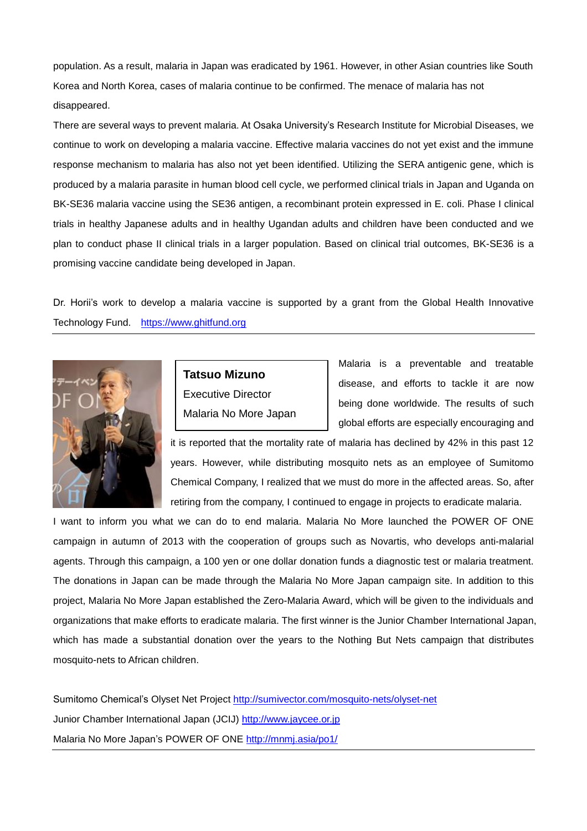population. As a result, malaria in Japan was eradicated by 1961. However, in other Asian countries like South Korea and North Korea, cases of malaria continue to be confirmed. The menace of malaria has not disappeared.

There are several ways to prevent malaria. At Osaka University's Research Institute for Microbial Diseases, we continue to work on developing a malaria vaccine. Effective malaria vaccines do not yet exist and the immune response mechanism to malaria has also not yet been identified. Utilizing the SERA antigenic gene, which is produced by a malaria parasite in human blood cell cycle, we performed clinical trials in Japan and Uganda on BK-SE36 malaria vaccine using the SE36 antigen, a recombinant protein expressed in E. coli. Phase I clinical trials in healthy Japanese adults and in healthy Ugandan adults and children have been conducted and we plan to conduct phase II clinical trials in a larger population. Based on clinical trial outcomes, BK-SE36 is a promising vaccine candidate being developed in Japan.

Dr. Horii's work to develop a malaria vaccine is supported by a grant from the Global Health Innovative Technology Fund. [https://www.ghitfund.org](https://www.ghitfund.org/)



**Tatsuo Mizuno** Executive Director Malaria No More Japan Malaria is a preventable and treatable disease, and efforts to tackle it are now being done worldwide. The results of such global efforts are especially encouraging and

it is reported that the mortality rate of malaria has declined by 42% in this past 12 years. However, while distributing mosquito nets as an employee of Sumitomo Chemical Company, I realized that we must do more in the affected areas. So, after retiring from the company, I continued to engage in projects to eradicate malaria.

I want to inform you what we can do to end malaria. Malaria No More launched the POWER OF ONE campaign in autumn of 2013 with the cooperation of groups such as Novartis, who develops anti-malarial agents. Through this campaign, a 100 yen or one dollar donation funds a diagnostic test or malaria treatment. The donations in Japan can be made through the Malaria No More Japan campaign site. In addition to this project, Malaria No More Japan established the Zero-Malaria Award, which will be given to the individuals and organizations that make efforts to eradicate malaria. The first winner is the Junior Chamber International Japan, which has made a substantial donation over the years to the Nothing But Nets campaign that distributes mosquito-nets to African children.

Sumitomo Chemical's Olyset Net Project<http://sumivector.com/mosquito-nets/olyset-net> Junior Chamber International Japan (JCIJ) [http://www.jaycee.or.jp](http://www.jaycee.or.jp/) Malaria No More Japan's POWER OF ONE<http://mnmj.asia/po1/>